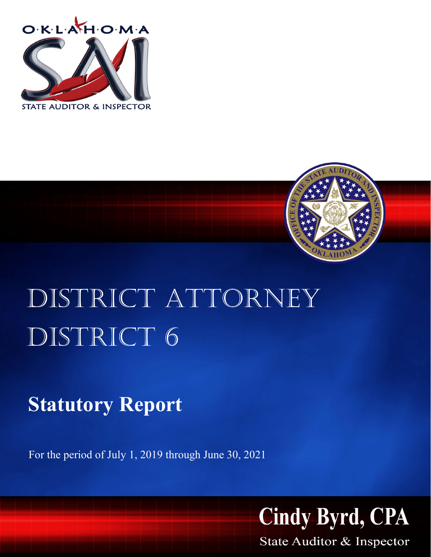



# DISTRICT ATTORNEY DISTRICT 6

# **Statutory Report**

For the period of July 1, 2019 through June 30, 2021



State Auditor & Inspector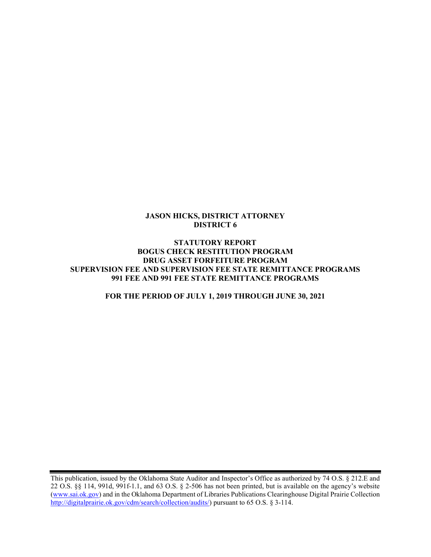#### JASON HICKS, DISTRICT ATTORNEY DISTRICT 6

#### STATUTORY REPORT BOGUS CHECK RESTITUTION PROGRAM DRUG ASSET FORFEITURE PROGRAM SUPERVISION FEE AND SUPERVISION FEE STATE REMITTANCE PROGRAMS 991 FEE AND 991 FEE STATE REMITTANCE PROGRAMS

#### FOR THE PERIOD OF JULY 1, 2019 THROUGH JUNE 30, 2021

This publication, issued by the Oklahoma State Auditor and Inspector's Office as authorized by 74 O.S. § 212.E and 22 O.S. §§ 114, 991d, 991f-1.1, and 63 O.S. § 2-506 has not been printed, but is available on the agency's website (www.sai.ok.gov) and in the Oklahoma Department of Libraries Publications Clearinghouse Digital Prairie Collection http://digitalprairie.ok.gov/cdm/search/collection/audits/) pursuant to 65 O.S. § 3-114.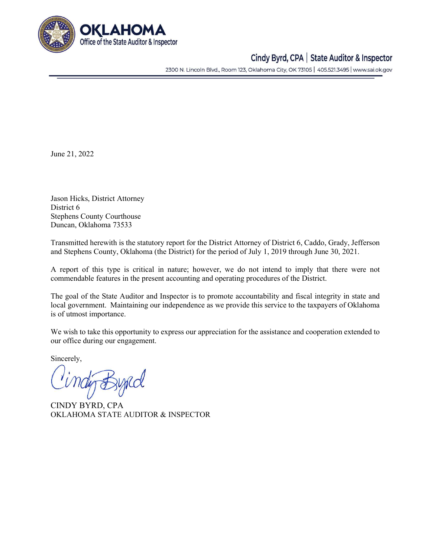

### Cindy Byrd, CPA | State Auditor & Inspector

2300 N. Lincoln Blvd., Room 123, Oklahoma City, OK 73105 | 405.521.3495 | www.sai.ok.gov

June 21, 2022

Jason Hicks, District Attorney District 6 Stephens County Courthouse Duncan, Oklahoma 73533

Transmitted herewith is the statutory report for the District Attorney of District 6, Caddo, Grady, Jefferson and Stephens County, Oklahoma (the District) for the period of July 1, 2019 through June 30, 2021.

A report of this type is critical in nature; however, we do not intend to imply that there were not commendable features in the present accounting and operating procedures of the District.

The goal of the State Auditor and Inspector is to promote accountability and fiscal integrity in state and local government. Maintaining our independence as we provide this service to the taxpayers of Oklahoma is of utmost importance.

We wish to take this opportunity to express our appreciation for the assistance and cooperation extended to our office during our engagement.

Sincerely,

CINDY BYRD, CPA OKLAHOMA STATE AUDITOR & INSPECTOR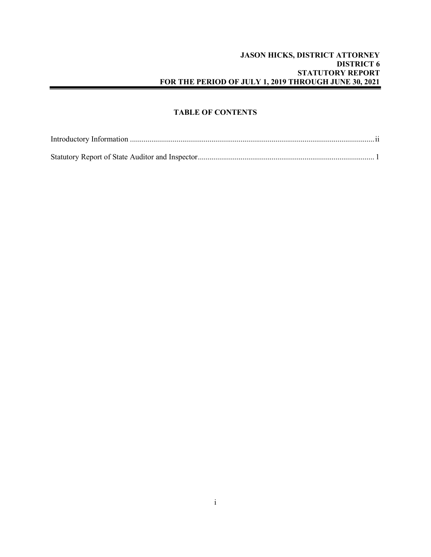#### JASON HICKS, DISTRICT ATTORNEY DISTRICT 6 STATUTORY REPORT FOR THE PERIOD OF JULY 1, 2019 THROUGH JUNE 30, 2021

#### TABLE OF CONTENTS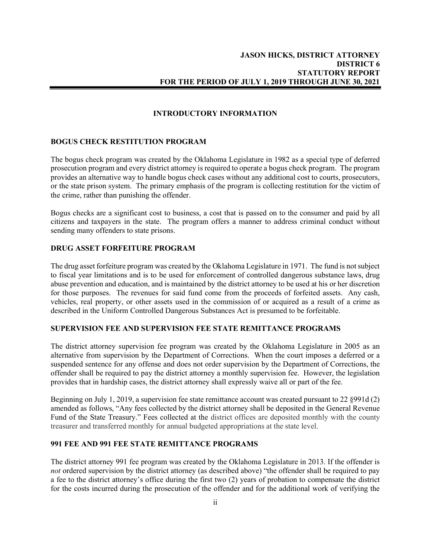#### INTRODUCTORY INFORMATION

#### BOGUS CHECK RESTITUTION PROGRAM

The bogus check program was created by the Oklahoma Legislature in 1982 as a special type of deferred prosecution program and every district attorney is required to operate a bogus check program. The program provides an alternative way to handle bogus check cases without any additional cost to courts, prosecutors, or the state prison system. The primary emphasis of the program is collecting restitution for the victim of the crime, rather than punishing the offender.

Bogus checks are a significant cost to business, a cost that is passed on to the consumer and paid by all citizens and taxpayers in the state. The program offers a manner to address criminal conduct without sending many offenders to state prisons.

#### DRUG ASSET FORFEITURE PROGRAM

The drug asset forfeiture program was created by the Oklahoma Legislature in 1971. The fund is not subject to fiscal year limitations and is to be used for enforcement of controlled dangerous substance laws, drug abuse prevention and education, and is maintained by the district attorney to be used at his or her discretion for those purposes. The revenues for said fund come from the proceeds of forfeited assets. Any cash, vehicles, real property, or other assets used in the commission of or acquired as a result of a crime as described in the Uniform Controlled Dangerous Substances Act is presumed to be forfeitable.

#### SUPERVISION FEE AND SUPERVISION FEE STATE REMITTANCE PROGRAMS

The district attorney supervision fee program was created by the Oklahoma Legislature in 2005 as an alternative from supervision by the Department of Corrections. When the court imposes a deferred or a suspended sentence for any offense and does not order supervision by the Department of Corrections, the offender shall be required to pay the district attorney a monthly supervision fee. However, the legislation provides that in hardship cases, the district attorney shall expressly waive all or part of the fee.

Beginning on July 1, 2019, a supervision fee state remittance account was created pursuant to 22 §991d (2) amended as follows, "Any fees collected by the district attorney shall be deposited in the General Revenue Fund of the State Treasury." Fees collected at the district offices are deposited monthly with the county treasurer and transferred monthly for annual budgeted appropriations at the state level.

#### 991 FEE AND 991 FEE STATE REMITTANCE PROGRAMS

The district attorney 991 fee program was created by the Oklahoma Legislature in 2013. If the offender is not ordered supervision by the district attorney (as described above) "the offender shall be required to pay a fee to the district attorney's office during the first two (2) years of probation to compensate the district for the costs incurred during the prosecution of the offender and for the additional work of verifying the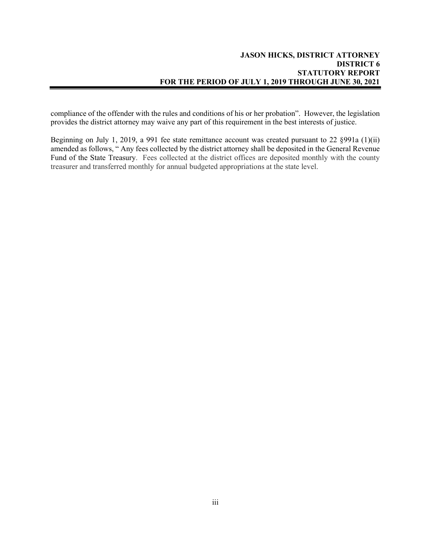compliance of the offender with the rules and conditions of his or her probation". However, the legislation provides the district attorney may waive any part of this requirement in the best interests of justice.

Beginning on July 1, 2019, a 991 fee state remittance account was created pursuant to 22 §991a (1)(ii) amended as follows, " Any fees collected by the district attorney shall be deposited in the General Revenue Fund of the State Treasury. Fees collected at the district offices are deposited monthly with the county treasurer and transferred monthly for annual budgeted appropriations at the state level.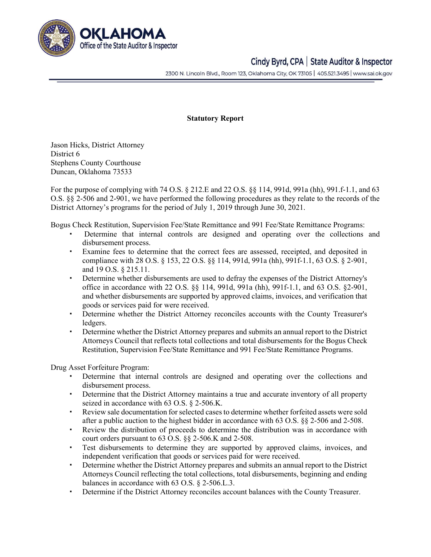

## Cindy Byrd, CPA | State Auditor & Inspector

2300 N. Lincoln Blvd., Room 123, Oklahoma City, OK 73105 | 405.521.3495 | www.sai.ok.gov

#### Statutory Report

Jason Hicks, District Attorney District 6 Stephens County Courthouse Duncan, Oklahoma 73533

For the purpose of complying with 74 O.S. § 212.E and 22 O.S. §§ 114, 991d, 991a (hh), 991.f-1.1, and 63 O.S. §§ 2-506 and 2-901, we have performed the following procedures as they relate to the records of the District Attorney's programs for the period of July 1, 2019 through June 30, 2021.

Bogus Check Restitution, Supervision Fee/State Remittance and 991 Fee/State Remittance Programs:

- Determine that internal controls are designed and operating over the collections and disbursement process.
- Examine fees to determine that the correct fees are assessed, receipted, and deposited in compliance with 28 O.S. § 153, 22 O.S. §§ 114, 991d, 991a (hh), 991f-1.1, 63 O.S. § 2-901, and 19 O.S. § 215.11.
- Determine whether disbursements are used to defray the expenses of the District Attorney's office in accordance with 22 O.S. §§ 114, 991d, 991a (hh), 991f-1.1, and 63 O.S. §2-901, and whether disbursements are supported by approved claims, invoices, and verification that goods or services paid for were received.
- Determine whether the District Attorney reconciles accounts with the County Treasurer's ledgers.
- Determine whether the District Attorney prepares and submits an annual report to the District Attorneys Council that reflects total collections and total disbursements for the Bogus Check Restitution, Supervision Fee/State Remittance and 991 Fee/State Remittance Programs.

Drug Asset Forfeiture Program:

- Determine that internal controls are designed and operating over the collections and disbursement process.
- Determine that the District Attorney maintains a true and accurate inventory of all property seized in accordance with 63 O.S. § 2-506.K.
- Review sale documentation for selected cases to determine whether forfeited assets were sold after a public auction to the highest bidder in accordance with 63 O.S. §§ 2-506 and 2-508.
- Review the distribution of proceeds to determine the distribution was in accordance with court orders pursuant to 63 O.S. §§ 2-506.K and 2-508.
- Test disbursements to determine they are supported by approved claims, invoices, and independent verification that goods or services paid for were received.
- Determine whether the District Attorney prepares and submits an annual report to the District Attorneys Council reflecting the total collections, total disbursements, beginning and ending balances in accordance with 63 O.S. § 2-506.L.3.
- Determine if the District Attorney reconciles account balances with the County Treasurer.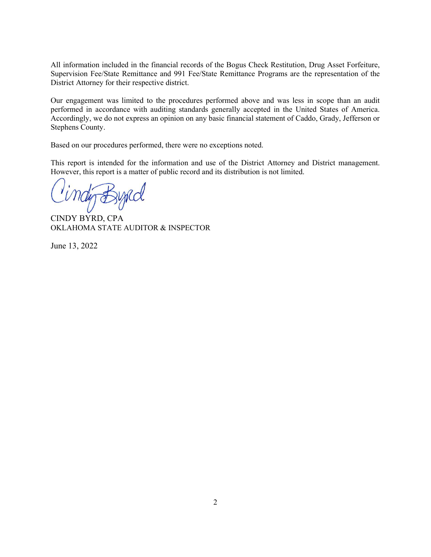All information included in the financial records of the Bogus Check Restitution, Drug Asset Forfeiture, Supervision Fee/State Remittance and 991 Fee/State Remittance Programs are the representation of the District Attorney for their respective district.

Our engagement was limited to the procedures performed above and was less in scope than an audit performed in accordance with auditing standards generally accepted in the United States of America. Accordingly, we do not express an opinion on any basic financial statement of Caddo, Grady, Jefferson or Stephens County.

Based on our procedures performed, there were no exceptions noted.

This report is intended for the information and use of the District Attorney and District management. However, this report is a matter of public record and its distribution is not limited.

CINDY BYRD, CPA OKLAHOMA STATE AUDITOR & INSPECTOR

June 13, 2022